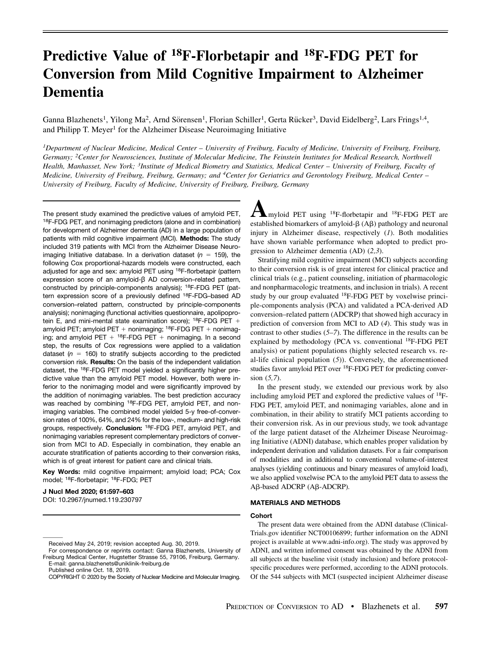# Predictive Value of 18F-Florbetapir and 18F-FDG PET for Conversion from Mild Cognitive Impairment to Alzheimer **Dementia**

Ganna Blazhenets<sup>1</sup>, Yilong Ma<sup>2</sup>, Arnd Sörensen<sup>1</sup>, Florian Schiller<sup>1</sup>, Gerta Rücker<sup>3</sup>, David Eidelberg<sup>2</sup>, Lars Frings<sup>1,4</sup>, and Philipp T. Meyer<sup>1</sup> for the Alzheimer Disease Neuroimaging Initiative

<sup>1</sup>Department of Nuclear Medicine, Medical Center – University of Freiburg, Faculty of Medicine, University of Freiburg, Freiburg, Germany; 2Center for Neurosciences, Institute of Molecular Medicine, The Feinstein Institutes for Medical Research, Northwell Health, Manhasset, New York; <sup>3</sup>Institute of Medical Biometry and Statistics, Medical Center – University of Freiburg, Faculty of Medicine, University of Freiburg, Freiburg, Germany; and <sup>4</sup>Center for Geriatrics and Gerontology Freiburg, Medical Center – University of Freiburg, Faculty of Medicine, University of Freiburg, Freiburg, Germany

The present study examined the predictive values of amyloid PET, 18F-FDG PET, and nonimaging predictors (alone and in combination) for development of Alzheimer dementia (AD) in a large population of patients with mild cognitive impairment (MCI). Methods: The study included 319 patients with MCI from the Alzheimer Disease Neuroimaging Initiative database. In a derivation dataset  $(n = 159)$ , the following Cox proportional-hazards models were constructed, each adjusted for age and sex: amyloid PET using 18F-florbetapir (pattern expression score of an amyloid-β AD conversion–related pattern, constructed by principle-components analysis); 18F-FDG PET (pattern expression score of a previously defined 18F-FDG–based AD conversion–related pattern, constructed by principle-components analysis); nonimaging (functional activities questionnaire, apolipoprotein E, and mini-mental state examination score);  $^{18}F$ -FDG PET + amyloid PET; amyloid PET + nonimaging;  $18F-FDG$  PET + nonimaging; and amyloid PET  $+$  <sup>18</sup>F-FDG PET  $+$  nonimaging. In a second step, the results of Cox regressions were applied to a validation dataset  $(n = 160)$  to stratify subjects according to the predicted conversion risk. Results: On the basis of the independent validation dataset, the 18F-FDG PET model yielded a significantly higher predictive value than the amyloid PET model. However, both were inferior to the nonimaging model and were significantly improved by the addition of nonimaging variables. The best prediction accuracy was reached by combining <sup>18</sup>F-FDG PET, amyloid PET, and nonimaging variables. The combined model yielded 5-y free-of-conversion rates of 100%, 64%, and 24% for the low-, medium- and high-risk groups, respectively. Conclusion: <sup>18</sup>F-FDG PET, amyloid PET, and nonimaging variables represent complementary predictors of conversion from MCI to AD. Especially in combination, they enable an accurate stratification of patients according to their conversion risks, which is of great interest for patient care and clinical trials.

Key Words: mild cognitive impairment; amyloid load; PCA; Cox model; 18F-florbetapir; 18F-FDG; PET

J Nucl Med 2020; 61:597–603 DOI: 10.2967/jnumed.119.230797

Received May 24, 2019; revision accepted Aug. 30, 2019. For correspondence or reprints contact: Ganna Blazhenets, University of

Freiburg Medical Center, Hugstetter Strasse 55, 79106, Freiburg, Germany. E-mail: [ganna.blazhenets@uniklinik-freiburg.de](mailto:ganna.blazhenets@uniklinik-freiburg.de)

Published online Oct. 18, 2019.

COPYRIGHT © 2020 by the Society of Nuclear Medicine and Molecular Imaging.

Amyloid PET using <sup>18</sup>F-florbetapir and <sup>18</sup>F-FDG PET are established biomarkers of amyloid- $\beta$  (A $\beta$ ) pathology and neuronal injury in Alzheimer disease, respectively  $(1)$ . Both modalities have shown variable performance when adopted to predict progression to Alzheimer dementia (AD) (2,3).

Stratifying mild cognitive impairment (MCI) subjects according to their conversion risk is of great interest for clinical practice and clinical trials (e.g., patient counseling, initiation of pharmacologic and nonpharmacologic treatments, and inclusion in trials). A recent study by our group evaluated 18F-FDG PET by voxelwise principle-components analysis (PCA) and validated a PCA-derived AD conversion–related pattern (ADCRP) that showed high accuracy in prediction of conversion from MCI to AD (4). This study was in contrast to other studies (5–7). The difference in the results can be explained by methodology (PCA vs. conventional 18F-FDG PET analysis) or patient populations (highly selected research vs. real-life clinical population  $(5)$ ). Conversely, the aforementioned studies favor amyloid PET over <sup>18</sup>F-FDG PET for predicting conversion (5,7).

In the present study, we extended our previous work by also including amyloid PET and explored the predictive values of 18F-FDG PET, amyloid PET, and nonimaging variables, alone and in combination, in their ability to stratify MCI patients according to their conversion risk. As in our previous study, we took advantage of the large patient dataset of the Alzheimer Disease Neuroimaging Initiative (ADNI) database, which enables proper validation by independent derivation and validation datasets. For a fair comparison of modalities and in additional to conventional volume-of-interest analyses (yielding continuous and binary measures of amyloid load), we also applied voxelwise PCA to the amyloid PET data to assess the A<sub>B</sub>-based ADCRP (A<sub>B</sub>-ADCRP).

#### MATERIALS AND METHODS

#### Cohort

The present data were obtained from the ADNI database [\(Clinical-](http://ClinicalTrials.gov)[Trials.gov](http://ClinicalTrials.gov) identifier NCT00106899; further information on the ADNI project is available at [www.adni-info.org\)](http://www.adni-info.org). The study was approved by ADNI, and written informed consent was obtained by the ADNI from all subjects at the baseline visit (study inclusion) and before protocolspecific procedures were performed, according to the ADNI protocols. Of the 544 subjects with MCI (suspected incipient Alzheimer disease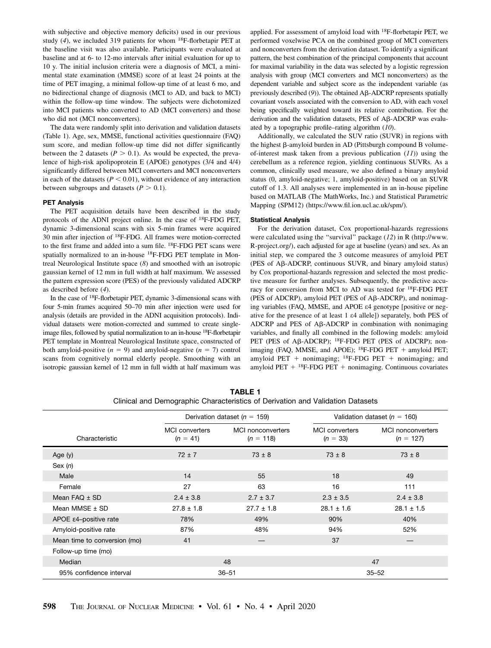with subjective and objective memory deficits) used in our previous study (4), we included 319 patients for whom 18F-florbetapir PET at the baseline visit was also available. Participants were evaluated at baseline and at 6- to 12-mo intervals after initial evaluation for up to 10 y. The initial inclusion criteria were a diagnosis of MCI, a minimental state examination (MMSE) score of at least 24 points at the time of PET imaging, a minimal follow-up time of at least 6 mo, and no bidirectional change of diagnosis (MCI to AD, and back to MCI) within the follow-up time window. The subjects were dichotomized into MCI patients who converted to AD (MCI converters) and those who did not (MCI nonconverters).

The data were randomly split into derivation and validation datasets (Table 1). Age, sex, MMSE, functional activities questionnaire (FAQ) sum score, and median follow-up time did not differ significantly between the 2 datasets ( $P > 0.1$ ). As would be expected, the prevalence of high-risk apolipoprotein E (APOE) genotypes (3/4 and 4/4) significantly differed between MCI converters and MCI nonconverters in each of the datasets ( $P < 0.01$ ), without evidence of any interaction between subgroups and datasets ( $P > 0.1$ ).

#### PET Analysis

The PET acquisition details have been described in the study protocols of the ADNI project online. In the case of 18F-FDG PET, dynamic 3-dimensional scans with six 5-min frames were acquired 30 min after injection of 18F-FDG. All frames were motion-corrected to the first frame and added into a sum file. 18F-FDG PET scans were spatially normalized to an in-house 18F-FDG PET template in Montreal Neurological Institute space (8) and smoothed with an isotropic gaussian kernel of 12 mm in full width at half maximum. We assessed the pattern expression score (PES) of the previously validated ADCRP as described before (4).

In the case of 18F-florbetapir PET, dynamic 3-dimensional scans with four 5-min frames acquired 50–70 min after injection were used for analysis (details are provided in the ADNI acquisition protocols). Individual datasets were motion-corrected and summed to create singleimage files, followed by spatial normalization to an in-house 18F-florbetapir PET template in Montreal Neurological Institute space, constructed of both amyloid-positive ( $n = 9$ ) and amyloid-negative ( $n = 7$ ) control scans from cognitively normal elderly people. Smoothing with an isotropic gaussian kernel of 12 mm in full width at half maximum was

applied. For assessment of amyloid load with 18F-florbetapir PET, we performed voxelwise PCA on the combined group of MCI converters and nonconverters from the derivation dataset. To identify a significant pattern, the best combination of the principal components that account for maximal variability in the data was selected by a logistic regression analysis with group (MCI converters and MCI nonconverters) as the dependent variable and subject score as the independent variable (as previously described  $(9)$ ). The obtained A $\beta$ -ADCRP represents spatially covariant voxels associated with the conversion to AD, with each voxel being specifically weighted toward its relative contribution. For the derivation and the validation datasets, PES of Aß-ADCRP was evaluated by a topographic profile–rating algorithm (10).

Additionally, we calculated the SUV ratio (SUVR) in regions with the highest  $\beta$ -amyloid burden in AD (Pittsburgh compound B volumeof-interest mask taken from a previous publication  $(11)$ ) using the cerebellum as a reference region, yielding continuous SUVRs. As a common, clinically used measure, we also defined a binary amyloid status (0, amyloid-negative; 1, amyloid-positive) based on an SUVR cutoff of 1.3. All analyses were implemented in an in-house pipeline based on MATLAB (The MathWorks, Inc.) and Statistical Parametric Mapping (SPM12) (<https://www.fil.ion.ucl.ac.uk/spm/>).

#### Statistical Analysis

For the derivation dataset, Cox proportional-hazards regressions were calculated using the ''survival'' package (12) in R ([http://www.](http://www.R-project.org/) [R-project.org/](http://www.R-project.org/)), each adjusted for age at baseline (years) and sex. As an initial step, we compared the 3 outcome measures of amyloid PET (PES of Ab-ADCRP, continuous SUVR, and binary amyloid status) by Cox proportional-hazards regression and selected the most predictive measure for further analyses. Subsequently, the predictive accuracy for conversion from MCI to AD was tested for 18F-FDG PET (PES of ADCRP), amyloid PET (PES of Aß-ADCRP), and nonimaging variables (FAQ, MMSE, and APOE e4 genotype [positive or negative for the presence of at least 1 e4 allele]) separately, both PES of ADCRP and PES of  $A\beta$ -ADCRP in combination with nonimaging variables, and finally all combined in the following models: amyloid PET (PES of Aβ-ADCRP); <sup>18</sup>F-FDG PET (PES of ADCRP); nonimaging (FAQ, MMSE, and APOE);  $^{18}$ F-FDG PET + amyloid PET; amyloid PET + nonimaging;  $18$ F-FDG PET + nonimaging; and amyloid PET  $+$  <sup>18</sup>F-FDG PET  $+$  nonimaging. Continuous covariates

|                              |                              | Derivation dataset ( $n = 159$ ) | Validation dataset ( $n = 160$ ) |                                  |  |
|------------------------------|------------------------------|----------------------------------|----------------------------------|----------------------------------|--|
| Characteristic               | MCI converters<br>$(n = 41)$ | MCI nonconverters<br>$(n = 118)$ | MCI converters<br>$(n = 33)$     | MCI nonconverters<br>$(n = 127)$ |  |
| Age $(y)$                    | $72 \pm 7$                   | $73 \pm 8$                       | $73 \pm 8$                       | $73 \pm 8$                       |  |
| Sex $(n)$                    |                              |                                  |                                  |                                  |  |
| Male                         | 14                           |                                  | 18                               | 49                               |  |
| Female                       | 27                           | 63                               | 16                               | 111                              |  |
| Mean $FAQ \pm SD$            | $2.4 \pm 3.8$                | $2.7 \pm 3.7$                    | $2.3 \pm 3.5$                    | $2.4 \pm 3.8$                    |  |
| Mean MMSE ± SD               | $27.8 \pm 1.8$               | $27.7 \pm 1.8$                   | $28.1 \pm 1.6$                   | $28.1 \pm 1.5$                   |  |
| APOE ε4-positive rate        | 78%                          | 49%                              | 90%                              | 40%                              |  |
| Amyloid-positive rate        | 87%                          | 48%                              | 94%                              | 52%                              |  |
| Mean time to conversion (mo) | 41                           |                                  | 37                               |                                  |  |
| Follow-up time (mo)          |                              |                                  |                                  |                                  |  |
| Median                       |                              | 48                               |                                  | 47                               |  |
| 95% confidence interval      |                              | $36 - 51$                        |                                  | $35 - 52$                        |  |

TABLE 1 Clinical and Demographic Characteristics of Derivation and Validation Datasets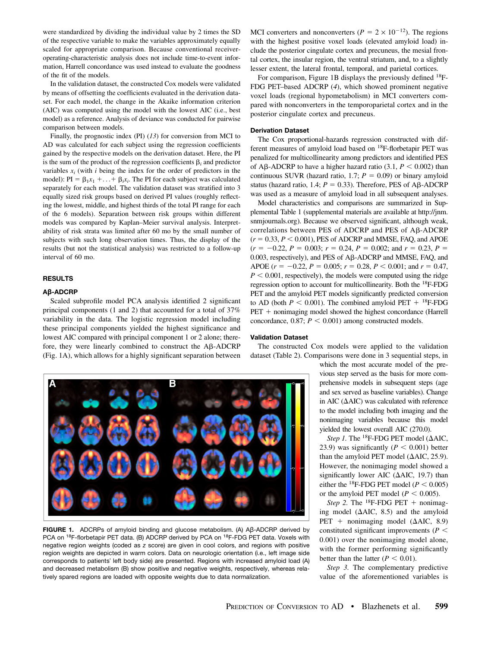were standardized by dividing the individual value by 2 times the SD of the respective variable to make the variables approximately equally scaled for appropriate comparison. Because conventional receiveroperating-characteristic analysis does not include time-to-event information, Harrell concordance was used instead to evaluate the goodness of the fit of the models.

In the validation dataset, the constructed Cox models were validated by means of offsetting the coefficients evaluated in the derivation dataset. For each model, the change in the Akaike information criterion (AIC) was computed using the model with the lowest AIC (i.e., best model) as a reference. Analysis of deviance was conducted for pairwise comparison between models.

Finally, the prognostic index (PI) (13) for conversion from MCI to AD was calculated for each subject using the regression coefficients gained by the respective models on the derivation dataset. Here, the PI is the sum of the product of the regression coefficients  $\beta_i$  and predictor variables  $x_i$  (with i being the index for the order of predictors in the model): PI =  $\beta_1 x_1 + \ldots + \beta_i x_i$ . The PI for each subject was calculated separately for each model. The validation dataset was stratified into 3 equally sized risk groups based on derived PI values (roughly reflecting the lowest, middle, and highest thirds of the total PI range for each of the 6 models). Separation between risk groups within different models was compared by Kaplan–Meier survival analysis. Interpretability of risk strata was limited after 60 mo by the small number of subjects with such long observation times. Thus, the display of the results (but not the statistical analysis) was restricted to a follow-up interval of 60 mo.

## RESULTS

#### Aβ-ADCRP

Scaled subprofile model PCA analysis identified 2 significant principal components (1 and 2) that accounted for a total of 37% variability in the data. The logistic regression model including these principal components yielded the highest significance and lowest AIC compared with principal component 1 or 2 alone; therefore, they were linearly combined to construct the  $\mathsf{A}\beta\text{-}\mathsf{ADCRP}$ (Fig. 1A), which allows for a highly significant separation between



For comparison, Figure 1B displays the previously defined 18F-FDG PET–based ADCRP (4), which showed prominent negative voxel loads (regional hypometabolism) in MCI converters compared with nonconverters in the temporoparietal cortex and in the posterior cingulate cortex and precuneus.

#### Derivation Dataset

The Cox proportional-hazards regression constructed with different measures of amyloid load based on <sup>18</sup>F-florbetapir PET was penalized for multicollinearity among predictors and identified PES of A $\beta$ -ADCRP to have a higher hazard ratio (3.1,  $P < 0.002$ ) than continuous SUVR (hazard ratio, 1.7;  $P = 0.09$ ) or binary amyloid status (hazard ratio, 1.4;  $P = 0.33$ ). Therefore, PES of A $\beta$ -ADCRP was used as a measure of amyloid load in all subsequent analyses.

Model characteristics and comparisons are summarized in Supplemental Table 1 (supplemental materials are available at [http://jnm.](http://jnm.snmjournals.org/) [snmjournals.org](http://jnm.snmjournals.org/)). Because we observed significant, although weak, correlations between PES of ADCRP and PES of Ab-ADCRP  $(r = 0.33, P \le 0.001)$ , PES of ADCRP and MMSE, FAQ, and APOE  $(r = -0.22, P = 0.003; r = 0.24, P = 0.002;$  and  $r = 0.23, P =$ 0.003, respectively), and PES of Aβ-ADCRP and MMSE, FAQ, and APOE ( $r = -0.22$ ,  $P = 0.005$ ;  $r = 0.28$ ,  $P < 0.001$ ; and  $r = 0.47$ ,  $P < 0.001$ , respectively), the models were computed using the ridge regression option to account for multicollinearity. Both the <sup>18</sup>F-FDG PET and the amyloid PET models significantly predicted conversion to AD (both  $P < 0.001$ ). The combined amyloid PET + <sup>18</sup>F-FDG PET + nonimaging model showed the highest concordance (Harrell concordance, 0.87;  $P < 0.001$ ) among constructed models.

## Validation Dataset

The constructed Cox models were applied to the validation dataset (Table 2). Comparisons were done in 3 sequential steps, in

> which the most accurate model of the previous step served as the basis for more comprehensive models in subsequent steps (age and sex served as baseline variables). Change in AIC ( $\Delta$ AIC) was calculated with reference to the model including both imaging and the nonimaging variables because this model yielded the lowest overall AIC (270.0).

Step 1. The  $^{18}$ F-FDG PET model ( $\Delta$ AIC, 23.9) was significantly ( $P < 0.001$ ) better than the amyloid PET model ( $\Delta AIC$ , 25.9). However, the nonimaging model showed a significantly lower AIC ( $\Delta AIC$ , 19.7) than either the <sup>18</sup>F-FDG PET model ( $P < 0.005$ ) or the amyloid PET model ( $P < 0.005$ ).

Step 2. The <sup>18</sup>F-FDG PET + nonimaging model ( $\Delta AIC$ , 8.5) and the amyloid PET + nonimaging model  $(\Delta AIC, 8.9)$ constituted significant improvements ( $P <$ 0.001) over the nonimaging model alone, with the former performing significantly better than the latter  $(P < 0.01)$ .

Step 3. The complementary predictive value of the aforementioned variables is



FIGURE 1. ADCRPs of amyloid binding and glucose metabolism. (A) Aβ-ADCRP derived by PCA on <sup>18</sup>F-florbetapir PET data. (B) ADCRP derived by PCA on <sup>18</sup>F-FDG PET data. Voxels with negative region weights (coded as *z* score) are given in cool colors, and regions with positive region weights are depicted in warm colors. Data on neurologic orientation (i.e., left image side corresponds to patients' left body side) are presented. Regions with increased amyloid load (A) and decreased metabolism (B) show positive and negative weights, respectively, whereas relatively spared regions are loaded with opposite weights due to data normalization.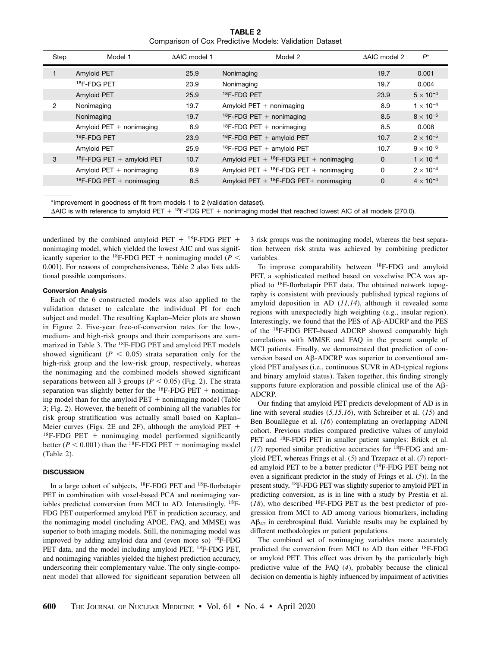TABLE 2 Comparison of Cox Predictive Models: Validation Dataset

| Step | Model 1                                 | $\triangle$ AIC model 1 | Model 2                                                | $\triangle$ AIC model 2 | $P^*$              |
|------|-----------------------------------------|-------------------------|--------------------------------------------------------|-------------------------|--------------------|
|      | Amyloid PET                             | 25.9                    | Nonimaging                                             | 19.7                    | 0.001              |
|      | 18F-FDG PET                             | 23.9                    | Nonimaging                                             | 19.7                    | 0.004              |
|      | Amyloid PET                             | 25.9                    | <sup>18</sup> F-FDG PET                                | 23.9                    | $5 \times 10^{-4}$ |
| 2    | Nonimaging                              | 19.7                    | Amyloid $PET + nonimaging$                             | 8.9                     | $1 \times 10^{-4}$ |
|      | Nonimaging                              | 19.7                    | <sup>18</sup> F-FDG PET $+$ nonimaging                 | 8.5                     | $8 \times 10^{-5}$ |
|      | Amyloid $PET + nonimaging$              | 8.9                     | <sup>18</sup> F-FDG PET $+$ nonimaging                 | 8.5                     | 0.008              |
|      | <sup>18</sup> F-FDG PET                 | 23.9                    | <sup>18</sup> F-FDG PET $+$ amyloid PET                | 10.7                    | $2 \times 10^{-5}$ |
|      | Amyloid PET                             | 25.9                    | $18F$ -FDG PET + amyloid PET                           | 10.7                    | $9 \times 10^{-6}$ |
| 3    | <sup>18</sup> F-FDG PET $+$ amyloid PET | 10.7                    | Amyloid PET $+$ <sup>18</sup> F-FDG PET $+$ nonimaging | $\mathbf 0$             | $1 \times 10^{-4}$ |
|      | Amyloid $PET + nonimaq$                 | 8.9                     | Amyloid PET $+$ <sup>18</sup> F-FDG PET $+$ nonimaging | 0                       | $2 \times 10^{-4}$ |
|      | $18$ F-FDG PET + nonimaging             | 8.5                     | Amyloid PET $+{}^{18}F$ -FDG PET + nonimaging          | $\Omega$                | $4 \times 10^{-4}$ |

\*Improvement in goodness of fit from models 1 to 2 (validation dataset).

 $\triangle$ AIC is with reference to amyloid PET + <sup>18</sup>F-FDG PET + nonimaging model that reached lowest AIC of all models (270.0).

underlined by the combined amyloid PET  $+$  18F-FDG PET  $+$ nonimaging model, which yielded the lowest AIC and was significantly superior to the <sup>18</sup>F-FDG PET + nonimaging model ( $P$  < 0.001). For reasons of comprehensiveness, Table 2 also lists additional possible comparisons.

#### Conversion Analysis

Each of the 6 constructed models was also applied to the validation dataset to calculate the individual PI for each subject and model. The resulting Kaplan–Meier plots are shown in Figure 2. Five-year free-of-conversion rates for the low-, medium- and high-risk groups and their comparisons are summarized in Table 3. The 18F-FDG PET and amyloid PET models showed significant ( $P < 0.05$ ) strata separation only for the high-risk group and the low-risk group, respectively, whereas the nonimaging and the combined models showed significant separations between all 3 groups ( $P < 0.05$ ) (Fig. 2). The strata separation was slightly better for the  $^{18}F$ -FDG PET + nonimaging model than for the amyloid  $PET + nonimaging model$  (Table 3; Fig. 2). However, the benefit of combining all the variables for risk group stratification was actually small based on Kaplan– Meier curves (Figs. 2E and 2F), although the amyloid PET  $+$  $18$ F-FDG PET + nonimaging model performed significantly better ( $P < 0.001$ ) than the <sup>18</sup>F-FDG PET + nonimaging model (Table 2).

#### **DISCUSSION**

In a large cohort of subjects, 18F-FDG PET and 18F-florbetapir PET in combination with voxel-based PCA and nonimaging variables predicted conversion from MCI to AD. Interestingly, 18F-FDG PET outperformed amyloid PET in prediction accuracy, and the nonimaging model (including APOE, FAQ, and MMSE) was superior to both imaging models. Still, the nonimaging model was improved by adding amyloid data and (even more so) 18F-FDG PET data, and the model including amyloid PET, <sup>18</sup>F-FDG PET, and nonimaging variables yielded the highest prediction accuracy, underscoring their complementary value. The only single-component model that allowed for significant separation between all 3 risk groups was the nonimaging model, whereas the best separation between risk strata was achieved by combining predictor variables.

To improve comparability between 18F-FDG and amyloid PET, a sophisticated method based on voxelwise PCA was applied to <sup>18</sup>F-florbetapir PET data. The obtained network topography is consistent with previously published typical regions of amyloid deposition in AD  $(11,14)$ , although it revealed some regions with unexpectedly high weighting (e.g., insular region). Interestingly, we found that the PES of  $\overline{AB}$ -ADCRP and the PES of the 18F-FDG PET–based ADCRP showed comparably high correlations with MMSE and FAQ in the present sample of MCI patients. Finally, we demonstrated that prediction of conversion based on Aβ-ADCRP was superior to conventional amyloid PET analyses (i.e., continuous SUVR in AD-typical regions and binary amyloid status). Taken together, this finding strongly supports future exploration and possible clinical use of the Ab-ADCRP.

Our finding that amyloid PET predicts development of AD is in line with several studies (5,15,16), with Schreiber et al. (15) and Ben Bouallègue et al. (16) contemplating an overlapping ADNI cohort. Previous studies compared predictive values of amyloid PET and <sup>18</sup>F-FDG PET in smaller patient samples: Brück et al.  $(17)$  reported similar predictive accuracies for  $^{18}$ F-FDG and amyloid PET, whereas Frings et al. (5) and Trzepacz et al. (7) reported amyloid PET to be a better predictor (<sup>18</sup>F-FDG PET being not even a significant predictor in the study of Frings et al. (5)). In the present study, 18F-FDG PET was slightly superior to amyloid PET in predicting conversion, as is in line with a study by Prestia et al.  $(18)$ , who described <sup>18</sup>F-FDG PET as the best predictor of progression from MCI to AD among various biomarkers, including  $\Delta\beta_{42}$  in cerebrospinal fluid. Variable results may be explained by different methodologies or patient populations.

The combined set of nonimaging variables more accurately predicted the conversion from MCI to AD than either 18F-FDG or amyloid PET. This effect was driven by the particularly high predictive value of the FAQ (4), probably because the clinical decision on dementia is highly influenced by impairment of activities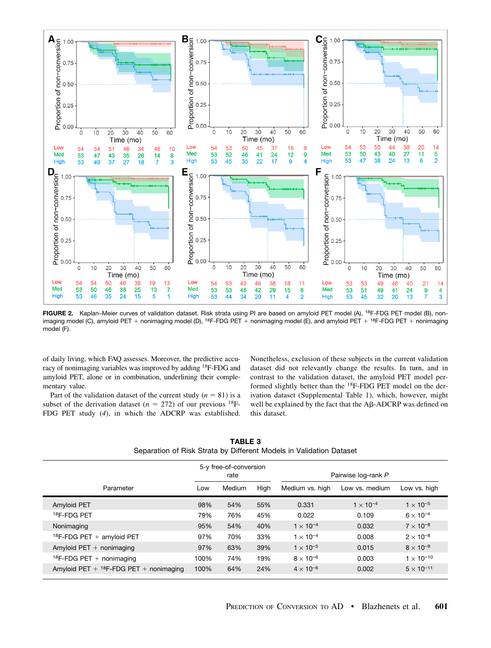

FIGURE 2. Kaplan–Meier curves of validation dataset. Risk strata using PI are based on amyloid PET model (A), <sup>18</sup>F-FDG PET model (B), nonimaging model (C), amyloid PET + nonimaging model (D),  $18F-FDG$  PET + nonimaging model (E), and amyloid PET +  $18F-FDG$  PET + nonimaging model (F).

of daily living, which FAQ assesses. Moreover, the predictive accuracy of nonimaging variables was improved by adding 18F-FDG and amyloid PET, alone or in combination, underlining their complementary value.

Part of the validation dataset of the current study ( $n = 81$ ) is a subset of the derivation dataset ( $n = 272$ ) of our previous <sup>18</sup>F-FDG PET study (4), in which the ADCRP was established. Nonetheless, exclusion of these subjects in the current validation dataset did not relevantly change the results. In turn, and in contrast to the validation dataset, the amyloid PET model performed slightly better than the <sup>18</sup>F-FDG PET model on the derivation dataset (Supplemental Table 1), which, however, might well be explained by the fact that the AB-ADCRP was defined on this dataset.

TABLE 3 Separation of Risk Strata by Different Models in Validation Dataset

|                                                        | 5-y free-of-conversion<br>rate |        | Pairwise log-rank P |                    |                    |                     |  |  |
|--------------------------------------------------------|--------------------------------|--------|---------------------|--------------------|--------------------|---------------------|--|--|
| Parameter                                              | Low                            | Medium | High                | Medium vs. high    | Low vs. medium     | Low vs. high        |  |  |
| Amyloid PET                                            | 98%                            | 54%    | 55%                 | 0.331              | $1 \times 10^{-4}$ | $1 \times 10^{-5}$  |  |  |
| <sup>18</sup> F-FDG PET                                | 79%                            | 76%    | 45%                 | 0.022              | 0.109              | $6 \times 10^{-4}$  |  |  |
| Nonimaging                                             | 95%                            | 54%    | 40%                 | $1 \times 10^{-4}$ | 0.032              | $7 \times 10^{-8}$  |  |  |
| <sup>18</sup> F-FDG PET $+$ amyloid PET                | 97%                            | 70%    | 33%                 | $1 \times 10^{-4}$ | 0.008              | $2 \times 10^{-8}$  |  |  |
| Amyloid $PET + nonimaq$                                | 97%                            | 63%    | 39%                 | $1 \times 10^{-5}$ | 0.015              | $8 \times 10^{-9}$  |  |  |
| <sup>18</sup> F-FDG PET $+$ nonimaging                 | 100%                           | 74%    | 19%                 | $8 \times 10^{-6}$ | 0.003              | $1 \times 10^{-10}$ |  |  |
| Amyloid PET $+$ <sup>18</sup> F-FDG PET $+$ nonimaging | 100%                           | 64%    | 24%                 | $4 \times 10^{-6}$ | 0.002              | $5 \times 10^{-11}$ |  |  |
|                                                        |                                |        |                     |                    |                    |                     |  |  |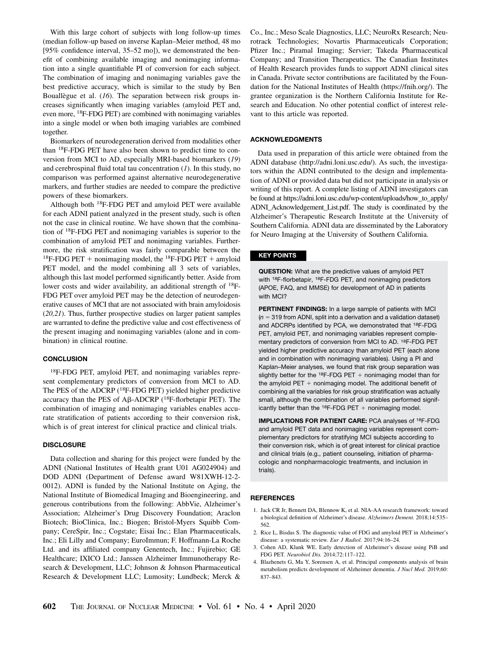With this large cohort of subjects with long follow-up times (median follow-up based on inverse Kaplan–Meier method, 48 mo [95% confidence interval, 35–52 mo]), we demonstrated the benefit of combining available imaging and nonimaging information into a single quantifiable PI of conversion for each subject. The combination of imaging and nonimaging variables gave the best predictive accuracy, which is similar to the study by Ben Bouallègue et al.  $(16)$ . The separation between risk groups increases significantly when imaging variables (amyloid PET and, even more, 18F-FDG PET) are combined with nonimaging variables into a single model or when both imaging variables are combined together.

Biomarkers of neurodegeneration derived from modalities other than 18F-FDG PET have also been shown to predict time to conversion from MCI to AD, especially MRI-based biomarkers (19) and cerebrospinal fluid total tau concentration  $(I)$ . In this study, no comparison was performed against alternative neurodegenerative markers, and further studies are needed to compare the predictive powers of these biomarkers.

Although both <sup>18</sup>F-FDG PET and amyloid PET were available for each ADNI patient analyzed in the present study, such is often not the case in clinical routine. We have shown that the combination of 18F-FDG PET and nonimaging variables is superior to the combination of amyloid PET and nonimaging variables. Furthermore, the risk stratification was fairly comparable between the <sup>18</sup>F-FDG PET + nonimaging model, the <sup>18</sup>F-FDG PET + amyloid PET model, and the model combining all 3 sets of variables, although this last model performed significantly better. Aside from lower costs and wider availability, an additional strength of 18F-FDG PET over amyloid PET may be the detection of neurodegenerative causes of MCI that are not associated with brain amyloidosis (20,21). Thus, further prospective studies on larger patient samples are warranted to define the predictive value and cost effectiveness of the present imaging and nonimaging variables (alone and in combination) in clinical routine.

## **CONCLUSION**

18F-FDG PET, amyloid PET, and nonimaging variables represent complementary predictors of conversion from MCI to AD. The PES of the ADCRP (18F-FDG PET) yielded higher predictive accuracy than the PES of A $\beta$ -ADCRP (<sup>18</sup>F-florbetapir PET). The combination of imaging and nonimaging variables enables accurate stratification of patients according to their conversion risk, which is of great interest for clinical practice and clinical trials.

### **DISCLOSURE**

Data collection and sharing for this project were funded by the ADNI (National Institutes of Health grant U01 AG024904) and DOD ADNI (Department of Defense award W81XWH-12-2- 0012). ADNI is funded by the National Institute on Aging, the National Institute of Biomedical Imaging and Bioengineering, and generous contributions from the following: AbbVie, Alzheimer's Association; Alzheimer's Drug Discovery Foundation; Araclon Biotech; BioClinica, Inc.; Biogen; Bristol-Myers Squibb Company; CereSpir, Inc.; Cogstate; Eisai Inc.; Elan Pharmaceuticals, Inc.; Eli Lilly and Company; EuroImmun; F. Hoffmann-La Roche Ltd. and its affiliated company Genentech, Inc.; Fujirebio; GE Healthcare; IXICO Ltd.; Janssen Alzheimer Immunotherapy Research & Development, LLC; Johnson & Johnson Pharmaceutical Research & Development LLC; Lumosity; Lundbeck; Merck &

Co., Inc.; Meso Scale Diagnostics, LLC; NeuroRx Research; Neurotrack Technologies; Novartis Pharmaceuticals Corporation; Pfizer Inc.; Piramal Imaging; Servier; Takeda Pharmaceutical Company; and Transition Therapeutics. The Canadian Institutes of Health Research provides funds to support ADNI clinical sites in Canada. Private sector contributions are facilitated by the Foundation for the National Institutes of Health [\(https://fnih.org/](https://fnih.org/)). The grantee organization is the Northern California Institute for Research and Education. No other potential conflict of interest relevant to this article was reported.

## ACKNOWLEDGMENTS

Data used in preparation of this article were obtained from the ADNI database [\(http://adni.loni.usc.edu/](http://adni.loni.usc.edu/)). As such, the investigators within the ADNI contributed to the design and implementation of ADNI or provided data but did not participate in analysis or writing of this report. A complete listing of ADNI investigators can be found at [https://adni.loni.usc.edu/wp-content/uploads/how\\_to\\_apply/](https://adni.loni.usc.edu/wp-content/uploads/how_to_apply/ADNI_Acknowledgement_List.pdf) [ADNI\\_Acknowledgement\\_List.pdf.](https://adni.loni.usc.edu/wp-content/uploads/how_to_apply/ADNI_Acknowledgement_List.pdf) The study is coordinated by the Alzheimer's Therapeutic Research Institute at the University of Southern California. ADNI data are disseminated by the Laboratory for Neuro Imaging at the University of Southern California.

## KEY POINTS

QUESTION: What are the predictive values of amyloid PET with <sup>18</sup>F-florbetapir, <sup>18</sup>F-FDG PET, and nonimaging predictors (APOE, FAQ, and MMSE) for development of AD in patients with MCI?

PERTINENT FINDINGS: In a large sample of patients with MCI  $(n = 319$  from ADNI, split into a derivation and a validation dataset) and ADCRPs identified by PCA, we demonstrated that 18F-FDG PET, amyloid PET, and nonimaging variables represent complementary predictors of conversion from MCI to AD. 18F-FDG PET yielded higher predictive accuracy than amyloid PET (each alone and in combination with nonimaging variables). Using a PI and Kaplan–Meier analyses, we found that risk group separation was slightly better for the <sup>18</sup>F-FDG PET  $+$  nonimaging model than for the amyloid PET  $+$  nonimaging model. The additional benefit of combining all the variables for risk group stratification was actually small, although the combination of all variables performed significantly better than the  $18F$ -FDG PET + nonimaging model.

IMPLICATIONS FOR PATIENT CARE: PCA analyses of 18F-FDG and amyloid PET data and nonimaging variables represent complementary predictors for stratifying MCI subjects according to their conversion risk, which is of great interest for clinical practice and clinical trials (e.g., patient counseling, initiation of pharmacologic and nonpharmacologic treatments, and inclusion in trials).

## **REFERENCES**

- 1. Jack CR Jr, Bennett DA, Blennow K, et al. NIA-AA research framework: toward a biological definition of Alzheimer's disease. Alzheimers Dement. 2018;14:535– 562.
- 2. Rice L, Bisdas S. The diagnostic value of FDG and amyloid PET in Alzheimer's disease: a systematic review. Eur J Radiol. 2017;94:16–24.
- 3. Cohen AD, Klunk WE. Early detection of Alzheimer's disease using PiB and FDG PET. Neurobiol Dis. 2014;72:117–122.
- 4. Blazhenets G, Ma Y, Sorensen A, et al. Principal components analysis of brain metabolism predicts development of Alzheimer dementia. J Nucl Med. 2019;60: 837–843.